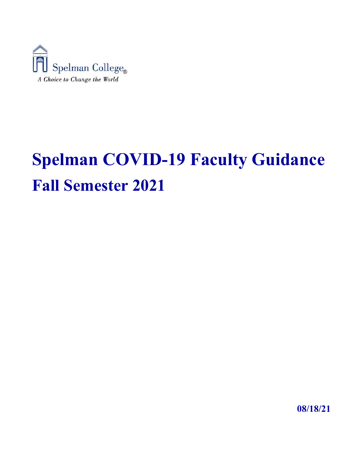

# **Spelman COVID-19 Faculty Guidance Fall Semester 2021**

**08/18/21**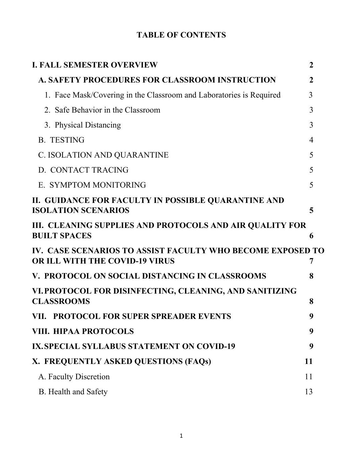# **TABLE OF CONTENTS**

| <b>I. FALL SEMESTER OVERVIEW</b>                                                                    | $\mathbf{2}$   |
|-----------------------------------------------------------------------------------------------------|----------------|
| <b>A. SAFETY PROCEDURES FOR CLASSROOM INSTRUCTION</b>                                               | 2              |
| 1. Face Mask/Covering in the Classroom and Laboratories is Required                                 | 3              |
| 2. Safe Behavior in the Classroom                                                                   | 3              |
| 3. Physical Distancing                                                                              | 3              |
| <b>B. TESTING</b>                                                                                   | $\overline{4}$ |
| C. ISOLATION AND QUARANTINE                                                                         | 5              |
| D. CONTACT TRACING                                                                                  | 5              |
| E. SYMPTOM MONITORING                                                                               | 5              |
| II. GUIDANCE FOR FACULTY IN POSSIBLE QUARANTINE AND<br><b>ISOLATION SCENARIOS</b>                   | 5              |
| III. CLEANING SUPPLIES AND PROTOCOLS AND AIR QUALITY FOR<br><b>BUILT SPACES</b>                     | 6              |
| IV. CASE SCENARIOS TO ASSIST FACULTY WHO BECOME EXPOSED TO<br><b>OR ILL WITH THE COVID-19 VIRUS</b> | 7              |
| V. PROTOCOL ON SOCIAL DISTANCING IN CLASSROOMS                                                      | 8              |
| VI. PROTOCOL FOR DISINFECTING, CLEANING, AND SANITIZING<br><b>CLASSROOMS</b>                        | 8              |
| VII. PROTOCOL FOR SUPER SPREADER EVENTS                                                             | 9              |
| VIII. HIPAA PROTOCOLS                                                                               | 9              |
| IX. SPECIAL SYLLABUS STATEMENT ON COVID-19                                                          | 9              |
| X. FREQUENTLY ASKED QUESTIONS (FAQs)                                                                | 11             |
| A. Faculty Discretion                                                                               | 11             |
| <b>B.</b> Health and Safety                                                                         | 13             |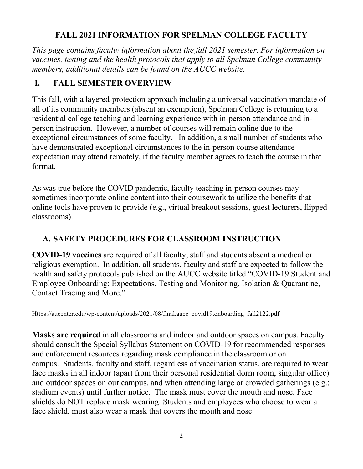## **FALL 2021 INFORMATION FOR SPELMAN COLLEGE FACULTY**

<span id="page-2-0"></span>*This page contains faculty information about the fall 2021 semester. For information on vaccines, testing and the health protocols that apply to all Spelman College community members, additional details can be found on the AUCC website.* 

## **I. FALL SEMESTER OVERVIEW**

This fall, with a layered-protection approach including a universal vaccination mandate of all of its community members (absent an exemption), Spelman College is returning to a residential college teaching and learning experience with in-person attendance and inperson instruction. However, a number of courses will remain online due to the exceptional circumstances of some faculty. In addition, a small number of students who have demonstrated exceptional circumstances to the in-person course attendance expectation may attend remotely, if the faculty member agrees to teach the course in that format.

As was true before the COVID pandemic, faculty teaching in-person courses may sometimes incorporate online content into their coursework to utilize the benefits that online tools have proven to provide (e.g., virtual breakout sessions, guest lecturers, flipped classrooms).

## **A. SAFETY PROCEDURES FOR CLASSROOM INSTRUCTION**

**COVID-19 vaccines** are required of all faculty, staff and students absent a medical or religious exemption. In addition, all students, faculty and staff are expected to follow the health and safety protocols published on the AUCC website titled "COVID-19 Student and Employee Onboarding: Expectations, Testing and Monitoring, Isolation & Quarantine, Contact Tracing and More."

[Https://aucenter.edu/wp-content/uploads/2021/08/final.aucc\\_covid19.onboarding\\_fall2122.pdf](https://aucenter.edu/wp-content/uploads/2021/08/final.aucc_covid19.onboarding_fall2122.pdf) 

**Masks are required** in all classrooms and indoor and outdoor spaces on campus. Faculty should consult the Special Syllabus Statement on COVID-19 for recommended responses and enforcement resources regarding mask compliance in the classroom or on campus. Students, faculty and staff, regardless of vaccination status, are required to wear face masks in all indoor (apart from their personal residential dorm room, singular office) and outdoor spaces on our campus, and when attending large or crowded gatherings (e.g.: stadium events) until further notice. The mask must cover the mouth and nose. Face shields do NOT replace mask wearing. Students and employees who choose to wear a face shield, must also wear a mask that covers the mouth and nose.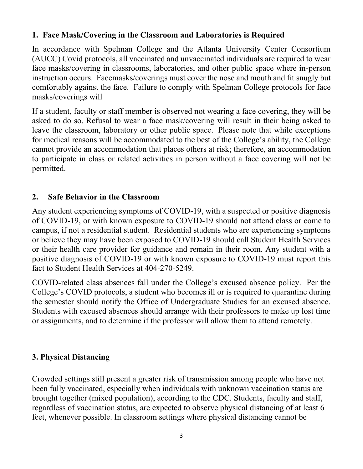#### <span id="page-3-0"></span>**1. Face Mask/Covering in the Classroom and Laboratories is Required**

In accordance with Spelman College and the Atlanta University Center Consortium (AUCC) Covid protocols, all vaccinated and unvaccinated individuals are required to wear face masks/covering in classrooms, laboratories, and other public space where in-person instruction occurs. Facemasks/coverings must cover the nose and mouth and fit snugly but comfortably against the face. Failure to comply with Spelman College protocols for face masks/coverings will

If a student, faculty or staff member is observed not wearing a face covering, they will be asked to do so. Refusal to wear a face mask/covering will result in their being asked to leave the classroom, laboratory or other public space. Please note that while exceptions for medical reasons will be accommodated to the best of the College's ability, the College cannot provide an accommodation that places others at risk; therefore, an accommodation to participate in class or related activities in person without a face covering will not be permitted.

#### **2. Safe Behavior in the Classroom**

Any student experiencing symptoms of COVID-19, with a suspected or positive diagnosis of COVID-19, or with known exposure to COVID-19 should not attend class or come to campus, if not a residential student. Residential students who are experiencing symptoms or believe they may have been exposed to COVID-19 should call Student Health Services or their health care provider for guidance and remain in their room. Any student with a positive diagnosis of COVID-19 or with known exposure to COVID-19 must report this fact to Student Health Services at 404-270-5249.

COVID-related class absences fall under the College's excused absence policy. Per the College's COVID protocols, a student who becomes ill or is required to quarantine during the semester should notify the Office of Undergraduate Studies for an excused absence. Students with excused absences should arrange with their professors to make up lost time or assignments, and to determine if the professor will allow them to attend remotely.

#### **3. Physical Distancing**

Crowded settings still present a greater risk of transmission among people who have not been fully vaccinated, especially when individuals with unknown vaccination status are brought together (mixed population), according to the CDC. Students, faculty and staff, regardless of vaccination status, are expected to observe physical distancing of at least 6 feet, whenever possible. In classroom settings where physical distancing cannot be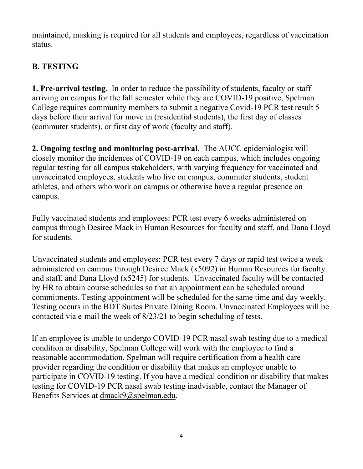<span id="page-4-0"></span>maintained, masking is required for all students and employees, regardless of vaccination status.

## **B. TESTING**

**1. Pre-arrival testing**. In order to reduce the possibility of students, faculty or staff arriving on campus for the fall semester while they are COVID-19 positive, Spelman College requires community members to submit a negative Covid-19 PCR test result 5 days before their arrival for move in (residential students), the first day of classes (commuter students), or first day of work (faculty and staff).

**2. Ongoing testing and monitoring post-arrival**. The AUCC epidemiologist will closely monitor the incidences of COVID-19 on each campus, which includes ongoing regular testing for all campus stakeholders, with varying frequency for vaccinated and unvaccinated employees, students who live on campus, commuter students, student athletes, and others who work on campus or otherwise have a regular presence on campus.

Fully vaccinated students and employees: PCR test every 6 weeks administered on campus through Desiree Mack in Human Resources for faculty and staff, and Dana Lloyd for students.

Unvaccinated students and employees: PCR test every 7 days or rapid test twice a week administered on campus through Desiree Mack (x5092) in Human Resources for faculty and staff, and Dana Lloyd (x5245) for students. Unvaccinated faculty will be contacted by HR to obtain course schedules so that an appointment can be scheduled around commitments. Testing appointment will be scheduled for the same time and day weekly. Testing occurs in the BDT Suites Private Dining Room. Unvaccinated Employees will be contacted via e-mail the week of 8/23/21 to begin scheduling of tests.

If an employee is unable to undergo COVID-19 PCR nasal swab testing due to a medical condition or disability, Spelman College will work with the employee to find a reasonable accommodation. Spelman will require certification from a health care provider regarding the condition or disability that makes an employee unable to participate in COVID-19 testing. If you have a medical condition or disability that makes testing for COVID-19 PCR nasal swab testing inadvisable, contact the Manager of Benefits Services at [dmack9@spelman.edu.](mailto:dmack9@spelman.edu)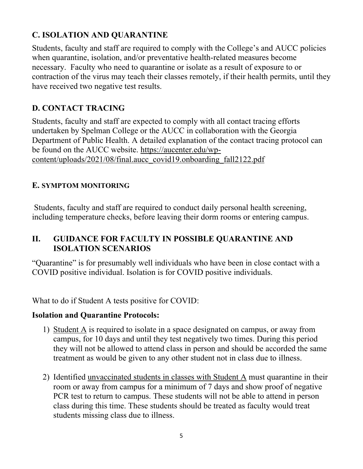## <span id="page-5-0"></span>**C. ISOLATION AND QUARANTINE**

Students, faculty and staff are required to comply with the College's and AUCC policies when quarantine, isolation, and/or preventative health-related measures become necessary. Faculty who need to quarantine or isolate as a result of exposure to or contraction of the virus may teach their classes remotely, if their health permits, until they have received two negative test results.

## **D. CONTACT TRACING**

Students, faculty and staff are expected to comply with all contact tracing efforts undertaken by Spelman College or the AUCC in collaboration with the Georgia Department of Public Health. A detailed explanation of the contact tracing protocol can be found on the AUCC website. [https://aucenter.edu/wp](https://aucenter.edu/wp-content/uploads/2021/08/final.aucc_covid19.onboarding_fall2122.pdf)[content/uploads/2021/08/final.aucc\\_covid19.onboarding\\_fall2122.pdf](https://aucenter.edu/wp-content/uploads/2021/08/final.aucc_covid19.onboarding_fall2122.pdf) 

## **E. SYMPTOM MONITORING**

 Students, faculty and staff are required to conduct daily personal health screening, including temperature checks, before leaving their dorm rooms or entering campus.

#### **II. GUIDANCE FOR FACULTY IN POSSIBLE QUARANTINE AND ISOLATION SCENARIOS**

"Quarantine" is for presumably well individuals who have been in close contact with a COVID positive individual. Isolation is for COVID positive individuals.

What to do if Student A tests positive for COVID:

#### **Isolation and Quarantine Protocols:**

- 1) Student A is required to isolate in a space designated on campus, or away from campus, for 10 days and until they test negatively two times. During this period they will not be allowed to attend class in person and should be accorded the same treatment as would be given to any other student not in class due to illness.
- 2) Identified unvaccinated students in classes with Student A must quarantine in their room or away from campus for a minimum of 7 days and show proof of negative PCR test to return to campus. These students will not be able to attend in person class during this time. These students should be treated as faculty would treat students missing class due to illness.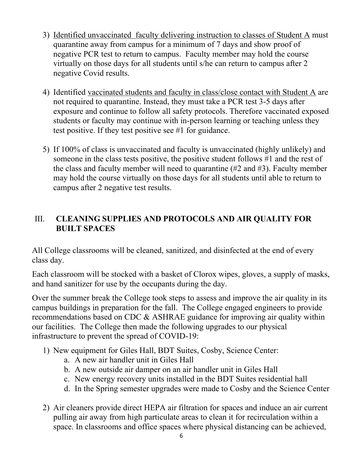- <span id="page-6-0"></span>3) Identified unvaccinated faculty delivering instruction to classes of Student A must quarantine away from campus for a minimum of 7 days and show proof of negative PCR test to return to campus. Faculty member may hold the course virtually on those days for all students until s/he can return to campus after 2 negative Covid results.
- 4) Identified vaccinated students and faculty in class/close contact with Student A are not required to quarantine. Instead, they must take a PCR test 3-5 days after exposure and continue to follow all safety protocols. Therefore vaccinated exposed students or faculty may continue with in-person learning or teaching unless they test positive. If they test positive see #1 for guidance.
- 5) If 100% of class is unvaccinated and faculty is unvaccinated (highly unlikely) and someone in the class tests positive, the positive student follows #1 and the rest of the class and faculty member will need to quarantine (#2 and #3). Faculty member may hold the course virtually on those days for all students until able to return to campus after 2 negative test results.

## III. **CLEANING SUPPLIES AND PROTOCOLS AND AIR QUALITY FOR BUILT SPACES**

All College classrooms will be cleaned, sanitized, and disinfected at the end of every class day.

Each classroom will be stocked with a basket of Clorox wipes, gloves, a supply of masks, and hand sanitizer for use by the occupants during the day.

Over the summer break the College took steps to assess and improve the air quality in its campus buildings in preparation for the fall. The College engaged engineers to provide recommendations based on CDC & ASHRAE guidance for improving air quality within our facilities. The College then made the following upgrades to our physical infrastructure to prevent the spread of COVID-19:

- 1) New equipment for Giles Hall, BDT Suites, Cosby, Science Center:
	- a. A new air handler unit in Giles Hall
	- b. A new outside air damper on an air handler unit in Giles Hall
	- c. New energy recovery units installed in the BDT Suites residential hall
	- d. In the Spring semester upgrades were made to Cosby and the Science Center
- 2) Air cleaners provide direct HEPA air filtration for spaces and induce an air current pulling air away from high particulate areas to clean it for recirculation within a space. In classrooms and office spaces where physical distancing can be achieved,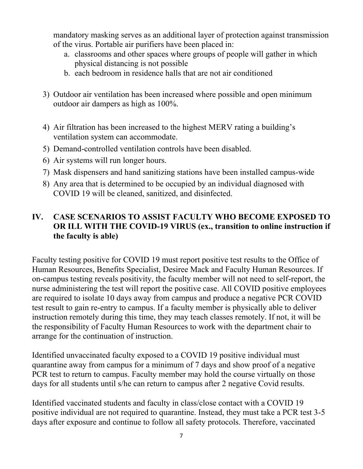<span id="page-7-0"></span>mandatory masking serves as an additional layer of protection against transmission of the virus. Portable air purifiers have been placed in:

- a. classrooms and other spaces where groups of people will gather in which physical distancing is not possible
- b. each bedroom in residence halls that are not air conditioned
- 3) Outdoor air ventilation has been increased where possible and open minimum outdoor air dampers as high as 100%.
- 4) Air filtration has been increased to the highest MERV rating a building's ventilation system can accommodate.
- 5) Demand-controlled ventilation controls have been disabled.
- 6) Air systems will run longer hours.
- 7) Mask dispensers and hand sanitizing stations have been installed campus-wide
- 8) Any area that is determined to be occupied by an individual diagnosed with COVID 19 will be cleaned, sanitized, and disinfected.

#### **IV. CASE SCENARIOS TO ASSIST FACULTY WHO BECOME EXPOSED TO OR ILL WITH THE COVID-19 VIRUS (ex., transition to online instruction if the faculty is able)**

Faculty testing positive for COVID 19 must report positive test results to the Office of Human Resources, Benefits Specialist, Desiree Mack and Faculty Human Resources. If on-campus testing reveals positivity, the faculty member will not need to self-report, the nurse administering the test will report the positive case. All COVID positive employees are required to isolate 10 days away from campus and produce a negative PCR COVID test result to gain re-entry to campus. If a faculty member is physically able to deliver instruction remotely during this time, they may teach classes remotely. If not, it will be the responsibility of Faculty Human Resources to work with the department chair to arrange for the continuation of instruction.

Identified unvaccinated faculty exposed to a COVID 19 positive individual must quarantine away from campus for a minimum of 7 days and show proof of a negative PCR test to return to campus. Faculty member may hold the course virtually on those days for all students until s/he can return to campus after 2 negative Covid results.

Identified vaccinated students and faculty in class/close contact with a COVID 19 positive individual are not required to quarantine. Instead, they must take a PCR test 3-5 days after exposure and continue to follow all safety protocols. Therefore, vaccinated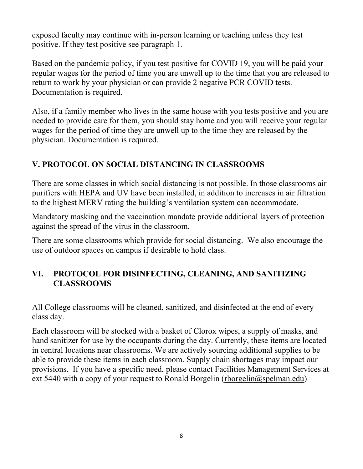<span id="page-8-0"></span>exposed faculty may continue with in-person learning or teaching unless they test positive. If they test positive see paragraph 1.

Based on the pandemic policy, if you test positive for COVID 19, you will be paid your regular wages for the period of time you are unwell up to the time that you are released to return to work by your physician or can provide 2 negative PCR COVID tests. Documentation is required.

Also, if a family member who lives in the same house with you tests positive and you are needed to provide care for them, you should stay home and you will receive your regular wages for the period of time they are unwell up to the time they are released by the physician. Documentation is required.

## **V. PROTOCOL ON SOCIAL DISTANCING IN CLASSROOMS**

There are some classes in which social distancing is not possible. In those classrooms air purifiers with HEPA and UV have been installed, in addition to increases in air filtration to the highest MERV rating the building's ventilation system can accommodate.

Mandatory masking and the vaccination mandate provide additional layers of protection against the spread of the virus in the classroom.

There are some classrooms which provide for social distancing. We also encourage the use of outdoor spaces on campus if desirable to hold class.

#### **VI. PROTOCOL FOR DISINFECTING, CLEANING, AND SANITIZING CLASSROOMS**

All College classrooms will be cleaned, sanitized, and disinfected at the end of every class day.

Each classroom will be stocked with a basket of Clorox wipes, a supply of masks, and hand sanitizer for use by the occupants during the day. Currently, these items are located in central locations near classrooms. We are actively sourcing additional supplies to be able to provide these items in each classroom. Supply chain shortages may impact our provisions. If you have a specific need, please contact Facilities Management Services at ext 5440 with a copy of your request to Ronald Borgelin [\(rborgelin@spelman.edu\)](mailto:rborgelin@spelman.edu)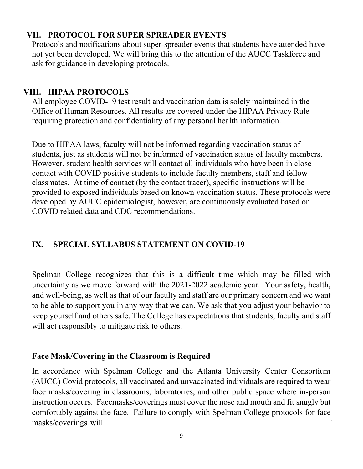#### <span id="page-9-0"></span>**VII. PROTOCOL FOR SUPER SPREADER EVENTS**

Protocols and notifications about super-spreader events that students have attended have not yet been developed. We will bring this to the attention of the AUCC Taskforce and ask for guidance in developing protocols.

#### **VIII. HIPAA PROTOCOLS**

All employee COVID-19 test result and vaccination data is solely maintained in the Office of Human Resources. All results are covered under the HIPAA Privacy Rule requiring protection and confidentiality of any personal health information.

Due to HIPAA laws, faculty will not be informed regarding vaccination status of students, just as students will not be informed of vaccination status of faculty members. However, student health services will contact all individuals who have been in close contact with COVID positive students to include faculty members, staff and fellow classmates. At time of contact (by the contact tracer), specific instructions will be provided to exposed individuals based on known vaccination status. These protocols were developed by AUCC epidemiologist, however, are continuously evaluated based on COVID related data and CDC recommendations.

## **IX. SPECIAL SYLLABUS STATEMENT ON COVID-19**

Spelman College recognizes that this is a difficult time which may be filled with uncertainty as we move forward with the 2021-2022 academic year. Your safety, health, and well-being, as well as that of our faculty and staff are our primary concern and we want to be able to support you in any way that we can. We ask that you adjust your behavior to keep yourself and others safe. The College has expectations that students, faculty and staff will act responsibly to mitigate risk to others.

#### **Face Mask/Covering in the Classroom is Required**

In accordance with Spelman College and the Atlanta University Center Consortium (AUCC) Covid protocols, all vaccinated and unvaccinated individuals are required to wear face masks/covering in classrooms, laboratories, and other public space where in-person instruction occurs. Facemasks/coverings must cover the nose and mouth and fit snugly but comfortably against the face. Failure to comply with Spelman College protocols for face masks/coverings will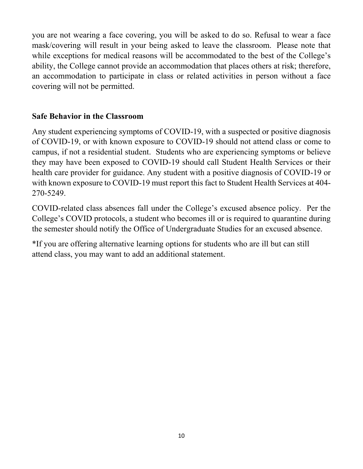you are not wearing a face covering, you will be asked to do so. Refusal to wear a face mask/covering will result in your being asked to leave the classroom. Please note that while exceptions for medical reasons will be accommodated to the best of the College's ability, the College cannot provide an accommodation that places others at risk; therefore, an accommodation to participate in class or related activities in person without a face covering will not be permitted.

#### **Safe Behavior in the Classroom**

Any student experiencing symptoms of COVID-19, with a suspected or positive diagnosis of COVID-19, or with known exposure to COVID-19 should not attend class or come to campus, if not a residential student. Students who are experiencing symptoms or believe they may have been exposed to COVID-19 should call Student Health Services or their health care provider for guidance. Any student with a positive diagnosis of COVID-19 or with known exposure to COVID-19 must report this fact to Student Health Services at 404- 270-5249.

COVID-related class absences fall under the College's excused absence policy. Per the College's COVID protocols, a student who becomes ill or is required to quarantine during the semester should notify the Office of Undergraduate Studies for an excused absence.

\*If you are offering alternative learning options for students who are ill but can still attend class, you may want to add an additional statement.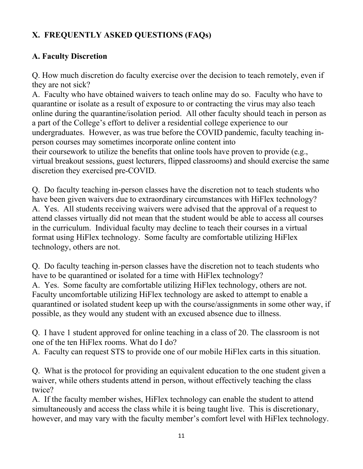## <span id="page-11-0"></span>**X. FREQUENTLY ASKED QUESTIONS (FAQs)**

## **A. Faculty Discretion**

Q. How much discretion do faculty exercise over the decision to teach remotely, even if they are not sick?

A. Faculty who have obtained waivers to teach online may do so. Faculty who have to quarantine or isolate as a result of exposure to or contracting the virus may also teach online during the quarantine/isolation period. All other faculty should teach in person as a part of the College's effort to deliver a residential college experience to our undergraduates. However, as was true before the COVID pandemic, faculty teaching inperson courses may sometimes incorporate online content into their coursework to utilize the benefits that online tools have proven to provide (e.g., virtual breakout sessions, guest lecturers, flipped classrooms) and should exercise the same discretion they exercised pre-COVID.

Q. Do faculty teaching in-person classes have the discretion not to teach students who have been given waivers due to extraordinary circumstances with HiFlex technology? A. Yes. All students receiving waivers were advised that the approval of a request to attend classes virtually did not mean that the student would be able to access all courses in the curriculum. Individual faculty may decline to teach their courses in a virtual format using HiFlex technology. Some faculty are comfortable utilizing HiFlex technology, others are not.

Q. Do faculty teaching in-person classes have the discretion not to teach students who have to be quarantined or isolated for a time with HiFlex technology? A. Yes. Some faculty are comfortable utilizing HiFlex technology, others are not. Faculty uncomfortable utilizing HiFlex technology are asked to attempt to enable a quarantined or isolated student keep up with the course/assignments in some other way, if possible, as they would any student with an excused absence due to illness.

Q. I have 1 student approved for online teaching in a class of 20. The classroom is not one of the ten HiFlex rooms. What do I do?

A. Faculty can request STS to provide one of our mobile HiFlex carts in this situation.

Q. What is the protocol for providing an equivalent education to the one student given a waiver, while others students attend in person, without effectively teaching the class twice?

A. If the faculty member wishes, HiFlex technology can enable the student to attend simultaneously and access the class while it is being taught live. This is discretionary, however, and may vary with the faculty member's comfort level with HiFlex technology.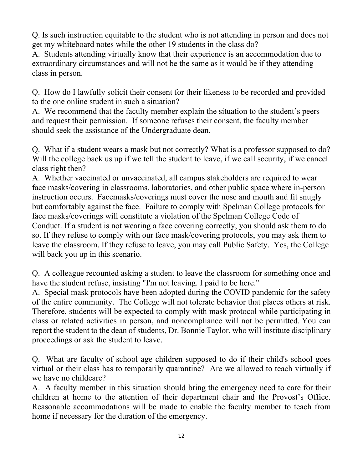Q. Is such instruction equitable to the student who is not attending in person and does not get my whiteboard notes while the other 19 students in the class do?

A. Students attending virtually know that their experience is an accommodation due to extraordinary circumstances and will not be the same as it would be if they attending class in person.

Q. How do I lawfully solicit their consent for their likeness to be recorded and provided to the one online student in such a situation?

A. We recommend that the faculty member explain the situation to the student's peers and request their permission. If someone refuses their consent, the faculty member should seek the assistance of the Undergraduate dean.

Q. What if a student wears a mask but not correctly? What is a professor supposed to do? Will the college back us up if we tell the student to leave, if we call security, if we cancel class right then?

A. Whether vaccinated or unvaccinated, all campus stakeholders are required to wear face masks/covering in classrooms, laboratories, and other public space where in-person instruction occurs. Facemasks/coverings must cover the nose and mouth and fit snugly but comfortably against the face. Failure to comply with Spelman College protocols for face masks/coverings will constitute a violation of the Spelman College Code of Conduct. If a student is not wearing a face covering correctly, you should ask them to do so. If they refuse to comply with our face mask/covering protocols, you may ask them to leave the classroom. If they refuse to leave, you may call Public Safety. Yes, the College will back you up in this scenario.

Q. A colleague recounted asking a student to leave the classroom for something once and have the student refuse, insisting "I'm not leaving. I paid to be here."

A. Special mask protocols have been adopted during the COVID pandemic for the safety of the entire community. The College will not tolerate behavior that places others at risk. Therefore, students will be expected to comply with mask protocol while participating in class or related activities in person, and noncompliance will not be permitted. You can report the student to the dean of students, Dr. Bonnie Taylor, who will institute disciplinary proceedings or ask the student to leave.

Q. What are faculty of school age children supposed to do if their child's school goes virtual or their class has to temporarily quarantine? Are we allowed to teach virtually if we have no childcare?

A. A faculty member in this situation should bring the emergency need to care for their children at home to the attention of their department chair and the Provost's Office. Reasonable accommodations will be made to enable the faculty member to teach from home if necessary for the duration of the emergency.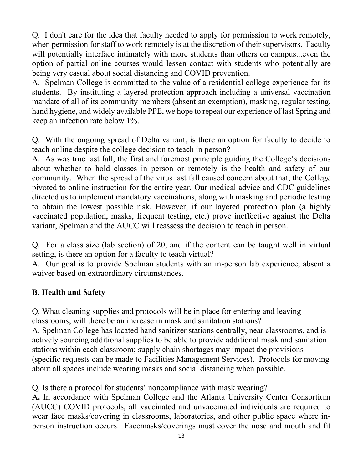<span id="page-13-0"></span>Q. I don't care for the idea that faculty needed to apply for permission to work remotely, when permission for staff to work remotely is at the discretion of their supervisors. Faculty will potentially interface intimately with more students than others on campus...even the option of partial online courses would lessen contact with students who potentially are being very casual about social distancing and COVID prevention.

A. Spelman College is committed to the value of a residential college experience for its students. By instituting a layered-protection approach including a universal vaccination mandate of all of its community members (absent an exemption), masking, regular testing, hand hygiene, and widely available PPE, we hope to repeat our experience of last Spring and keep an infection rate below 1%.

Q. With the ongoing spread of Delta variant, is there an option for faculty to decide to teach online despite the college decision to teach in person?

A. As was true last fall, the first and foremost principle guiding the College's decisions about whether to hold classes in person or remotely is the health and safety of our community. When the spread of the virus last fall caused concern about that, the College pivoted to online instruction for the entire year. Our medical advice and CDC guidelines directed us to implement mandatory vaccinations, along with masking and periodic testing to obtain the lowest possible risk. However, if our layered protection plan (a highly vaccinated population, masks, frequent testing, etc.) prove ineffective against the Delta variant, Spelman and the AUCC will reassess the decision to teach in person.

Q. For a class size (lab section) of 20, and if the content can be taught well in virtual setting, is there an option for a faculty to teach virtual?

A. Our goal is to provide Spelman students with an in-person lab experience, absent a waiver based on extraordinary circumstances.

## **B. Health and Safety**

Q. What cleaning supplies and protocols will be in place for entering and leaving classrooms; will there be an increase in mask and sanitation stations?

A. Spelman College has located hand sanitizer stations centrally, near classrooms, and is actively sourcing additional supplies to be able to provide additional mask and sanitation stations within each classroom; supply chain shortages may impact the provisions (specific requests can be made to Facilities Management Services). Protocols for moving about all spaces include wearing masks and social distancing when possible.

Q. Is there a protocol for students' noncompliance with mask wearing?

A**.** In accordance with Spelman College and the Atlanta University Center Consortium (AUCC) COVID protocols, all vaccinated and unvaccinated individuals are required to wear face masks/covering in classrooms, laboratories, and other public space where inperson instruction occurs. Facemasks/coverings must cover the nose and mouth and fit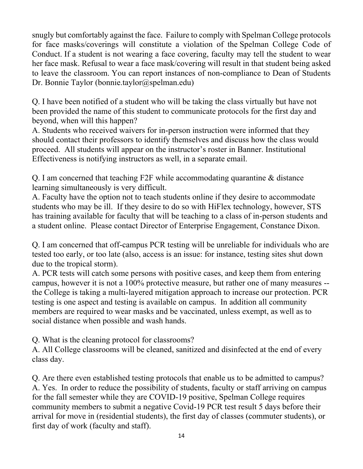snugly but comfortably against the face. Failure to comply with Spelman College protocols for face masks/coverings will constitute a violation of the Spelman College Code of Conduct. If a student is not wearing a face covering, faculty may tell the student to wear her face mask. Refusal to wear a face mask/covering will result in that student being asked to leave the classroom. You can report instances of non-compliance to Dean of Students Dr. Bonnie Taylor [\(bonnie.taylor@spelman.edu\)](mailto:bonnie.taylor@spelman.edu)

Q. I have been notified of a student who will be taking the class virtually but have not been provided the name of this student to communicate protocols for the first day and beyond, when will this happen?

A. Students who received waivers for in-person instruction were informed that they should contact their professors to identify themselves and discuss how the class would proceed. All students will appear on the instructor's roster in Banner. Institutional Effectiveness is notifying instructors as well, in a separate email.

Q. I am concerned that teaching F2F while accommodating quarantine & distance learning simultaneously is very difficult.

A. Faculty have the option not to teach students online if they desire to accommodate students who may be ill. If they desire to do so with HiFlex technology, however, STS has training available for faculty that will be teaching to a class of in-person students and a student online. Please contact Director of Enterprise Engagement, Constance Dixon.

Q. I am concerned that off-campus PCR testing will be unreliable for individuals who are tested too early, or too late (also, access is an issue: for instance, testing sites shut down due to the tropical storm).

A. PCR tests will catch some persons with positive cases, and keep them from entering campus, however it is not a 100% protective measure, but rather one of many measures - the College is taking a multi-layered mitigation approach to increase our protection. PCR testing is one aspect and testing is available on campus. In addition all community members are required to wear masks and be vaccinated, unless exempt, as well as to social distance when possible and wash hands.

Q. What is the cleaning protocol for classrooms?

A. All College classrooms will be cleaned, sanitized and disinfected at the end of every class day.

Q. Are there even established testing protocols that enable us to be admitted to campus? A. Yes. In order to reduce the possibility of students, faculty or staff arriving on campus for the fall semester while they are COVID-19 positive, Spelman College requires community members to submit a negative Covid-19 PCR test result 5 days before their arrival for move in (residential students), the first day of classes (commuter students), or first day of work (faculty and staff).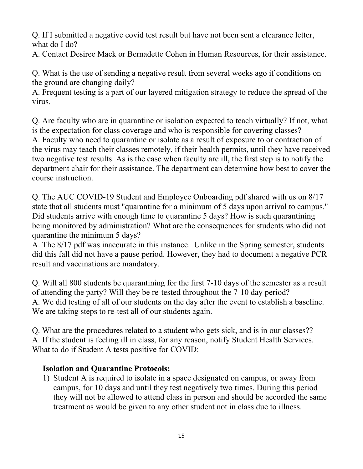Q. If I submitted a negative covid test result but have not been sent a clearance letter, what do I do?

A. Contact Desiree Mack or Bernadette Cohen in Human Resources, for their assistance.

Q. What is the use of sending a negative result from several weeks ago if conditions on the ground are changing daily?

A. Frequent testing is a part of our layered mitigation strategy to reduce the spread of the virus.

Q. Are faculty who are in quarantine or isolation expected to teach virtually? If not, what is the expectation for class coverage and who is responsible for covering classes? A. Faculty who need to quarantine or isolate as a result of exposure to or contraction of the virus may teach their classes remotely, if their health permits, until they have received two negative test results. As is the case when faculty are ill, the first step is to notify the department chair for their assistance. The department can determine how best to cover the course instruction.

Q. The AUC COVID-19 Student and Employee Onboarding pdf shared with us on 8/17 state that all students must "quarantine for a minimum of 5 days upon arrival to campus." Did students arrive with enough time to quarantine 5 days? How is such quarantining being monitored by administration? What are the consequences for students who did not quarantine the minimum 5 days?

A. The 8/17 pdf was inaccurate in this instance. Unlike in the Spring semester, students did this fall did not have a pause period. However, they had to document a negative PCR result and vaccinations are mandatory.

Q. Will all 800 students be quarantining for the first 7-10 days of the semester as a result of attending the party? Will they be re-tested throughout the 7-10 day period? A. We did testing of all of our students on the day after the event to establish a baseline. We are taking steps to re-test all of our students again.

Q. What are the procedures related to a student who gets sick, and is in our classes?? A. If the student is feeling ill in class, for any reason, notify Student Health Services. What to do if Student A tests positive for COVID:

## **Isolation and Quarantine Protocols:**

1) Student A is required to isolate in a space designated on campus, or away from campus, for 10 days and until they test negatively two times. During this period they will not be allowed to attend class in person and should be accorded the same treatment as would be given to any other student not in class due to illness.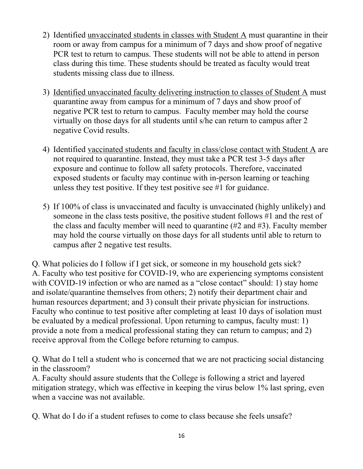- 2) Identified unvaccinated students in classes with Student A must quarantine in their room or away from campus for a minimum of 7 days and show proof of negative PCR test to return to campus. These students will not be able to attend in person class during this time. These students should be treated as faculty would treat students missing class due to illness.
- 3) Identified unvaccinated faculty delivering instruction to classes of Student A must quarantine away from campus for a minimum of 7 days and show proof of negative PCR test to return to campus. Faculty member may hold the course virtually on those days for all students until s/he can return to campus after 2 negative Covid results.
- 4) Identified vaccinated students and faculty in class/close contact with Student A are not required to quarantine. Instead, they must take a PCR test 3-5 days after exposure and continue to follow all safety protocols. Therefore, vaccinated exposed students or faculty may continue with in-person learning or teaching unless they test positive. If they test positive see #1 for guidance.
- 5) If 100% of class is unvaccinated and faculty is unvaccinated (highly unlikely) and someone in the class tests positive, the positive student follows #1 and the rest of the class and faculty member will need to quarantine (#2 and #3). Faculty member may hold the course virtually on those days for all students until able to return to campus after 2 negative test results.

Q. What policies do I follow if I get sick, or someone in my household gets sick? A. Faculty who test positive for COVID-19, who are experiencing symptoms consistent with COVID-19 infection or who are named as a "close contact" should: 1) stay home and isolate/quarantine themselves from others; 2) notify their department chair and human resources department; and 3) consult their private physician for instructions. Faculty who continue to test positive after completing at least 10 days of isolation must be evaluated by a medical professional. Upon returning to campus, faculty must: 1) provide a note from a medical professional stating they can return to campus; and 2) receive approval from the College before returning to campus.

Q. What do I tell a student who is concerned that we are not practicing social distancing in the classroom?

A. Faculty should assure students that the College is following a strict and layered mitigation strategy, which was effective in keeping the virus below 1% last spring, even when a vaccine was not available.

Q. What do I do if a student refuses to come to class because she feels unsafe?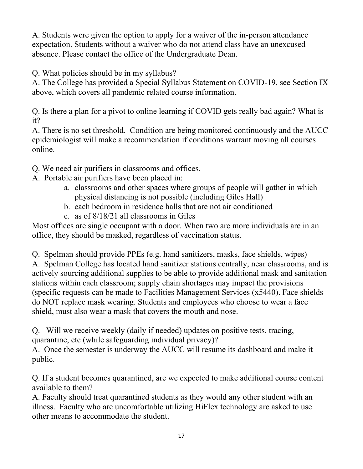A. Students were given the option to apply for a waiver of the in-person attendance expectation. Students without a waiver who do not attend class have an unexcused absence. Please contact the office of the Undergraduate Dean.

Q. What policies should be in my syllabus?

A. The College has provided a Special Syllabus Statement on COVID-19, see Section IX above, which covers all pandemic related course information.

Q. Is there a plan for a pivot to online learning if COVID gets really bad again? What is it?

A. There is no set threshold. Condition are being monitored continuously and the AUCC epidemiologist will make a recommendation if conditions warrant moving all courses online.

- Q. We need air purifiers in classrooms and offices.
- A. Portable air purifiers have been placed in:
	- a. classrooms and other spaces where groups of people will gather in which physical distancing is not possible (including Giles Hall)
	- b. each bedroom in residence halls that are not air conditioned
	- c. as of 8/18/21 all classrooms in Giles

Most offices are single occupant with a door. When two are more individuals are in an office, they should be masked, regardless of vaccination status.

Q. Spelman should provide PPEs (e.g. hand sanitizers, masks, face shields, wipes) A. Spelman College has located hand sanitizer stations centrally, near classrooms, and is actively sourcing additional supplies to be able to provide additional mask and sanitation stations within each classroom; supply chain shortages may impact the provisions (specific requests can be made to Facilities Management Services (x5440). Face shields do NOT replace mask wearing. Students and employees who choose to wear a face shield, must also wear a mask that covers the mouth and nose.

Q. Will we receive weekly (daily if needed) updates on positive tests, tracing, quarantine, etc (while safeguarding individual privacy)?

A. Once the semester is underway the AUCC will resume its dashboard and make it public.

Q. If a student becomes quarantined, are we expected to make additional course content available to them?

A. Faculty should treat quarantined students as they would any other student with an illness. Faculty who are uncomfortable utilizing HiFlex technology are asked to use other means to accommodate the student.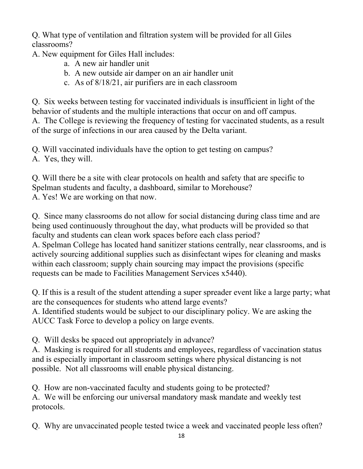Q. What type of ventilation and filtration system will be provided for all Giles classrooms?

A. New equipment for Giles Hall includes:

- a. A new air handler unit
- b. A new outside air damper on an air handler unit
- c. As of 8/18/21, air purifiers are in each classroom

Q. Six weeks between testing for vaccinated individuals is insufficient in light of the behavior of students and the multiple interactions that occur on and off campus. A. The College is reviewing the frequency of testing for vaccinated students, as a result of the surge of infections in our area caused by the Delta variant.

Q. Will vaccinated individuals have the option to get testing on campus?

A. Yes, they will.

Q. Will there be a site with clear protocols on health and safety that are specific to Spelman students and faculty, a dashboard, similar to Morehouse? A. Yes! We are working on that now.

Q. Since many classrooms do not allow for social distancing during class time and are being used continuously throughout the day, what products will be provided so that faculty and students can clean work spaces before each class period? A. Spelman College has located hand sanitizer stations centrally, near classrooms, and is actively sourcing additional supplies such as disinfectant wipes for cleaning and masks within each classroom; supply chain sourcing may impact the provisions (specific requests can be made to Facilities Management Services x5440).

Q. If this is a result of the student attending a super spreader event like a large party; what are the consequences for students who attend large events?

A. Identified students would be subject to our disciplinary policy. We are asking the AUCC Task Force to develop a policy on large events.

Q. Will desks be spaced out appropriately in advance?

A. Masking is required for all students and employees, regardless of vaccination status and is especially important in classroom settings where physical distancing is not possible. Not all classrooms will enable physical distancing.

Q. How are non-vaccinated faculty and students going to be protected?

A. We will be enforcing our universal mandatory mask mandate and weekly test protocols.

Q. Why are unvaccinated people tested twice a week and vaccinated people less often?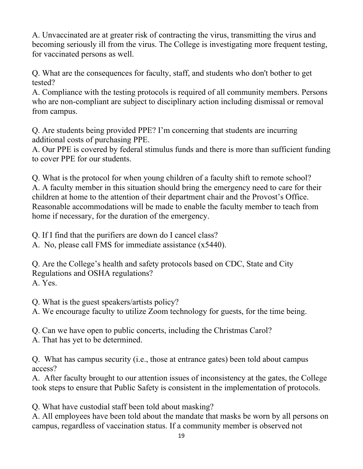A. Unvaccinated are at greater risk of contracting the virus, transmitting the virus and becoming seriously ill from the virus. The College is investigating more frequent testing, for vaccinated persons as well.

Q. What are the consequences for faculty, staff, and students who don't bother to get tested?

A. Compliance with the testing protocols is required of all community members. Persons who are non-compliant are subject to disciplinary action including dismissal or removal from campus.

Q. Are students being provided PPE? I'm concerning that students are incurring additional costs of purchasing PPE.

A. Our PPE is covered by federal stimulus funds and there is more than sufficient funding to cover PPE for our students.

Q. What is the protocol for when young children of a faculty shift to remote school? A. A faculty member in this situation should bring the emergency need to care for their children at home to the attention of their department chair and the Provost's Office. Reasonable accommodations will be made to enable the faculty member to teach from home if necessary, for the duration of the emergency.

Q. If I find that the purifiers are down do I cancel class?

A. No, please call FMS for immediate assistance (x5440).

Q. Are the College's health and safety protocols based on CDC, State and City Regulations and OSHA regulations? A. Yes.

Q. What is the guest speakers/artists policy?

A. We encourage faculty to utilize Zoom technology for guests, for the time being.

Q. Can we have open to public concerts, including the Christmas Carol?

A. That has yet to be determined.

Q. What has campus security (i.e., those at entrance gates) been told about campus access?

A. After faculty brought to our attention issues of inconsistency at the gates, the College took steps to ensure that Public Safety is consistent in the implementation of protocols.

Q. What have custodial staff been told about masking?

A. All employees have been told about the mandate that masks be worn by all persons on campus, regardless of vaccination status. If a community member is observed not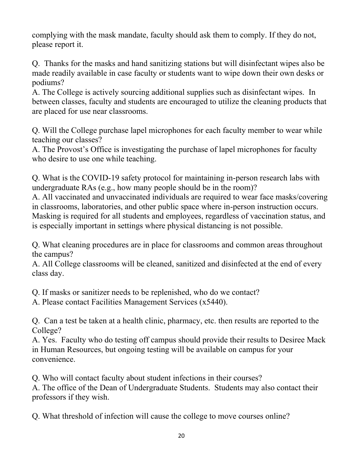complying with the mask mandate, faculty should ask them to comply. If they do not, please report it.

Q. Thanks for the masks and hand sanitizing stations but will disinfectant wipes also be made readily available in case faculty or students want to wipe down their own desks or podiums?

A. The College is actively sourcing additional supplies such as disinfectant wipes. In between classes, faculty and students are encouraged to utilize the cleaning products that are placed for use near classrooms.

Q. Will the College purchase lapel microphones for each faculty member to wear while teaching our classes?

A. The Provost's Office is investigating the purchase of lapel microphones for faculty who desire to use one while teaching.

Q. What is the COVID-19 safety protocol for maintaining in-person research labs with undergraduate RAs (e.g., how many people should be in the room)?

A. All vaccinated and unvaccinated individuals are required to wear face masks/covering in classrooms, laboratories, and other public space where in-person instruction occurs. Masking is required for all students and employees, regardless of vaccination status, and is especially important in settings where physical distancing is not possible.

Q. What cleaning procedures are in place for classrooms and common areas throughout the campus?

A. All College classrooms will be cleaned, sanitized and disinfected at the end of every class day.

Q. If masks or sanitizer needs to be replenished, who do we contact?

A. Please contact Facilities Management Services (x5440).

Q. Can a test be taken at a health clinic, pharmacy, etc. then results are reported to the College?

A. Yes. Faculty who do testing off campus should provide their results to Desiree Mack in Human Resources, but ongoing testing will be available on campus for your convenience.

Q. Who will contact faculty about student infections in their courses?

A. The office of the Dean of Undergraduate Students. Students may also contact their professors if they wish.

Q. What threshold of infection will cause the college to move courses online?